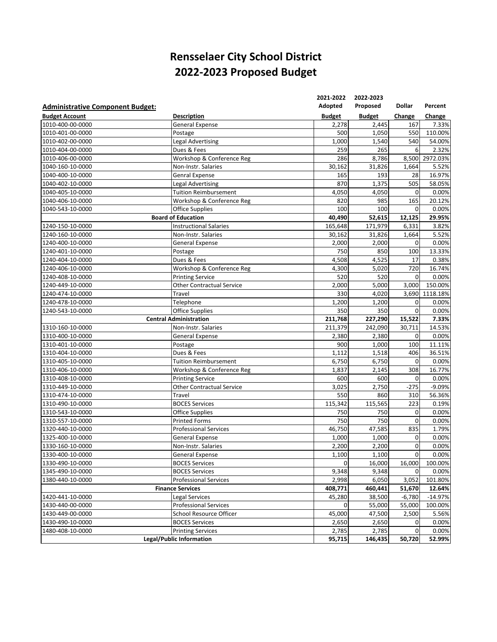## **Rensselaer City School District ‐2023 Proposed Budget**

|                                         |                                  | 2021-2022     | 2022-2023     |                |                |
|-----------------------------------------|----------------------------------|---------------|---------------|----------------|----------------|
| <b>Administrative Component Budget:</b> |                                  | Adopted       | Proposed      | Dollar         | Percent        |
| <b>Budget Account</b>                   | <b>Description</b>               | <b>Budget</b> | <b>Budget</b> | Change         | Change         |
| 1010-400-00-0000                        | <b>General Expense</b>           | 2,278         | 2,445         | 167            | 7.33%          |
| 1010-401-00-0000                        | Postage                          | 500           | 1,050         | 550            | 110.00%        |
| 1010-402-00-0000                        | <b>Legal Advertising</b>         | 1,000         | 1,540         | 540            | 54.00%         |
| 1010-404-00-0000                        | Dues & Fees                      | 259           | 265           | 6              | 2.32%          |
| 1010-406-00-0000                        | Workshop & Conference Reg        | 286           | 8,786         | 8,500          | 2972.03%       |
| 1040-160-10-0000                        | Non-Instr. Salaries              | 30,162        | 31,826        | 1,664          | 5.52%          |
| 1040-400-10-0000                        | <b>Genral Expense</b>            | 165           | 193           | 28             | 16.97%         |
| 1040-402-10-0000                        | <b>Legal Advertising</b>         | 870           | 1,375         | 505            | 58.05%         |
| 1040-405-10-0000                        | <b>Tuition Reimbursement</b>     | 4,050         | 4,050         | 0              | 0.00%          |
| 1040-406-10-0000                        | Workshop & Conference Reg        | 820           | 985           | 165            | 20.12%         |
| 1040-543-10-0000                        | <b>Office Supplies</b>           | 100           | 100           | $\mathbf 0$    | 0.00%          |
|                                         | <b>Board of Education</b>        | 40,490        | 52,615        | 12,125         | 29.95%         |
| 1240-150-10-0000                        | <b>Instructional Salaries</b>    | 165,648       | 171,979       | 6,331          | 3.82%          |
| 1240-160-10-0000                        | Non-Instr. Salaries              | 30,162        | 31,826        | 1,664          | 5.52%          |
| 1240-400-10-0000                        | <b>General Expense</b>           | 2,000         | 2,000         | $\mathbf 0$    | 0.00%          |
| 1240-401-10-0000                        | Postage                          | 750           | 850           | 100            | 13.33%         |
| 1240-404-10-0000                        | Dues & Fees                      | 4,508         | 4,525         | 17             | 0.38%          |
| 1240-406-10-0000                        | Workshop & Conference Reg        | 4,300         | 5,020         | 720            | 16.74%         |
| 1240-408-10-0000                        | <b>Printing Service</b>          | 520           | 520           | $\mathbf 0$    | 0.00%          |
| 1240-449-10-0000                        | <b>Other Contractual Service</b> | 2,000         | 5,000         | 3,000          | 150.00%        |
| 1240-474-10-0000                        | Travel                           | 330           | 4,020         |                | 3,690 1118.18% |
| 1240-478-10-0000                        | Telephone                        | 1,200         | 1,200         | 0              | 0.00%          |
| 1240-543-10-0000                        | <b>Office Supplies</b>           | 350           | 350           | $\mathbf 0$    | 0.00%          |
|                                         | <b>Central Administration</b>    | 211,768       | 227,290       | 15,522         | 7.33%          |
| 1310-160-10-0000                        | Non-Instr. Salaries              | 211,379       | 242,090       | 30,711         | 14.53%         |
| 1310-400-10-0000                        | General Expense                  | 2,380         | 2,380         | 0              | 0.00%          |
| 1310-401-10-0000                        | Postage                          | 900           | 1,000         | 100            | 11.11%         |
| 1310-404-10-0000                        | Dues & Fees                      | 1,112         | 1,518         | 406            | 36.51%         |
| 1310-405-10-0000                        | <b>Tuition Reimbursement</b>     | 6,750         | 6,750         | $\mathbf 0$    | 0.00%          |
| 1310-406-10-0000                        | Workshop & Conference Reg        | 1,837         | 2,145         | 308            | 16.77%         |
| 1310-408-10-0000                        | <b>Printing Service</b>          | 600           | 600           | $\mathbf 0$    | 0.00%          |
| 1310-449-10-0000                        | <b>Other Contractual Service</b> | 3,025         | 2,750         | $-275$         | $-9.09%$       |
| 1310-474-10-0000                        | Travel                           | 550           | 860           | 310            | 56.36%         |
| 1310-490-10-0000                        | <b>BOCES Services</b>            | 115,342       | 115,565       | 223            | 0.19%          |
| 1310-543-10-0000                        | <b>Office Supplies</b>           | 750           | 750           | 0              | 0.00%          |
| 1310-557-10-0000                        | <b>Printed Forms</b>             | 750           | 750           | $\overline{0}$ | 0.00%          |
| 1320-440-10-0000                        | <b>Professional Services</b>     | 46,750        | 47,585        | 835            | 1.79%          |
| 1325-400-10-0000                        | <b>General Expense</b>           | 1,000         | 1,000         | $\mathbf 0$    | 0.00%          |
| 1330-160-10-0000                        | Non-Instr. Salaries              | 2,200         | 2,200         | $\mathbf 0$    | 0.00%          |
| 1330-400-10-0000                        | General Expense                  | 1,100         | 1,100         | $\mathbf 0$    | 0.00%          |
| 1330-490-10-0000                        | <b>BOCES Services</b>            | $\mathbf 0$   | 16,000        | 16,000         | 100.00%        |
| 1345-490-10-0000                        | <b>BOCES Services</b>            | 9,348         | 9,348         | $\mathbf 0$    | 0.00%          |
| 1380-440-10-0000                        | <b>Professional Services</b>     |               | 6,050         | 3,052          | 101.80%        |
|                                         |                                  | 2,998         |               |                |                |
|                                         | <b>Finance Services</b>          | 408,771       | 460,441       | 51,670         | 12.64%         |
| 1420-441-10-0000                        | <b>Legal Services</b>            | 45,280        | 38,500        | $-6,780$       | $-14.97%$      |
| 1430-440-00-0000                        | <b>Professional Services</b>     | 0             | 55,000        | 55,000         | 100.00%        |
| 1430-449-00-0000                        | School Resource Officer          | 45,000        | 47,500        | 2,500          | 5.56%          |
| 1430-490-10-0000                        | <b>BOCES Services</b>            | 2,650         | 2,650         | 0              | 0.00%          |
| 1480-408-10-0000                        | <b>Printing Services</b>         | 2,785         | 2,785         | $\mathbf 0$    | 0.00%          |
|                                         | Legal/Public Information         | 95,715        | 146,435       | 50,720         | 52.99%         |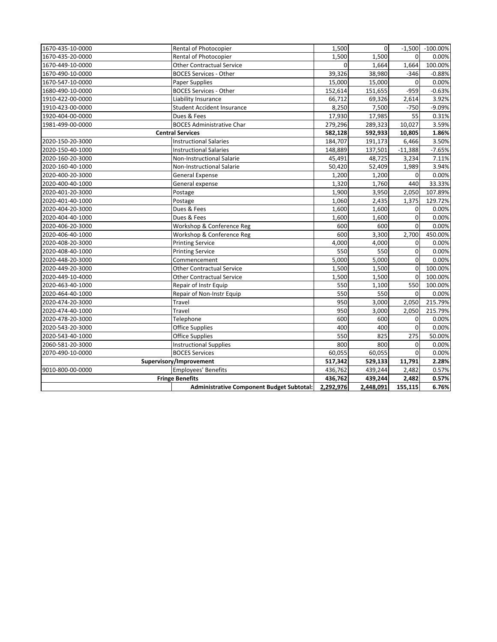| 1670-435-10-0000 | Rental of Photocopier                            | 1,500     | $\Omega$  | $-1,500$       | $-100.00\%$ |
|------------------|--------------------------------------------------|-----------|-----------|----------------|-------------|
| 1670-435-20-0000 | Rental of Photocopier                            | 1,500     | 1,500     | $\Omega$       | 0.00%       |
| 1670-449-10-0000 | <b>Other Contractual Service</b>                 | $\Omega$  | 1,664     | 1,664          | 100.00%     |
| 1670-490-10-0000 | <b>BOCES Services - Other</b>                    | 39,326    | 38,980    | $-346$         | $-0.88%$    |
| 1670-547-10-0000 | <b>Paper Supplies</b>                            | 15,000    | 15,000    | 0              | 0.00%       |
| 1680-490-10-0000 | <b>BOCES Services - Other</b>                    | 152,614   | 151,655   | $-959$         | $-0.63%$    |
| 1910-422-00-0000 | Liability Insurance                              | 66,712    | 69,326    | 2,614          | 3.92%       |
| 1910-423-00-0000 | Student Accident Insurance                       | 8,250     | 7,500     | $-750$         | $-9.09%$    |
| 1920-404-00-0000 | Dues & Fees                                      | 17,930    | 17,985    | 55             | 0.31%       |
| 1981-499-00-0000 | <b>BOCES Administrative Char</b>                 | 279,296   | 289,323   | 10,027         | 3.59%       |
|                  | <b>Central Services</b>                          | 582,128   | 592,933   | 10,805         | 1.86%       |
| 2020-150-20-3000 | <b>Instructional Salaries</b>                    | 184,707   | 191,173   | 6,466          | 3.50%       |
| 2020-150-40-1000 | <b>Instructional Salaries</b>                    | 148,889   | 137,501   | $-11,388$      | $-7.65%$    |
| 2020-160-20-3000 | Non-Instructional Salarie                        | 45,491    | 48,725    | 3,234          | 7.11%       |
| 2020-160-40-1000 | Non-Instructional Salarie                        | 50,420    | 52,409    | 1,989          | 3.94%       |
| 2020-400-20-3000 | <b>General Expense</b>                           | 1,200     | 1,200     | $\Omega$       | 0.00%       |
| 2020-400-40-1000 | General expense                                  | 1,320     | 1,760     | 440            | 33.33%      |
| 2020-401-20-3000 | Postage                                          | 1,900     | 3,950     | 2,050          | 107.89%     |
| 2020-401-40-1000 | Postage                                          | 1,060     | 2,435     | 1,375          | 129.72%     |
| 2020-404-20-3000 | Dues & Fees                                      | 1,600     | 1,600     | $\overline{0}$ | 0.00%       |
| 2020-404-40-1000 | Dues & Fees                                      | 1,600     | 1,600     | $\overline{0}$ | 0.00%       |
| 2020-406-20-3000 | Workshop & Conference Reg                        | 600       | 600       | 0              | 0.00%       |
| 2020-406-40-1000 | Workshop & Conference Reg                        | 600       | 3,300     | 2,700          | 450.00%     |
| 2020-408-20-3000 | <b>Printing Service</b>                          | 4,000     | 4,000     | 0              | 0.00%       |
| 2020-408-40-1000 | <b>Printing Service</b>                          | 550       | 550       | 0              | 0.00%       |
| 2020-448-20-3000 | Commencement                                     | 5,000     | 5,000     | $\overline{0}$ | 0.00%       |
| 2020-449-20-3000 | <b>Other Contractual Service</b>                 | 1,500     | 1,500     | $\mathbf 0$    | 100.00%     |
| 2020-449-10-4000 | <b>Other Contractual Service</b>                 | 1,500     | 1,500     | $\mathbf 0$    | 100.00%     |
| 2020-463-40-1000 | Repair of Instr Equip                            | 550       | 1,100     | 550            | 100.00%     |
| 2020-464-40-1000 | Repair of Non-Instr Equip                        | 550       | 550       | $\Omega$       | 0.00%       |
| 2020-474-20-3000 | Travel                                           | 950       | 3,000     | 2,050          | 215.79%     |
| 2020-474-40-1000 | Travel                                           | 950       | 3,000     | 2,050          | 215.79%     |
| 2020-478-20-3000 | Telephone                                        | 600       | 600       | 0              | 0.00%       |
| 2020-543-20-3000 | <b>Office Supplies</b>                           | 400       | 400       | $\mathbf 0$    | 0.00%       |
| 2020-543-40-1000 | <b>Office Supplies</b>                           | 550       | 825       | 275            | 50.00%      |
| 2060-581-20-3000 | <b>Instructional Supplies</b>                    | 800       | 800       | 0              | 0.00%       |
| 2070-490-10-0000 | <b>BOCES Services</b>                            | 60,055    | 60,055    | $\mathbf 0$    | 0.00%       |
|                  | Supervisory/Improvement                          | 517,342   | 529,133   | 11,791         | 2.28%       |
| 9010-800-00-0000 | Employees' Benefits                              | 436,762   | 439,244   | 2,482          | 0.57%       |
|                  | <b>Fringe Benefits</b>                           | 436,762   | 439,244   | 2,482          | 0.57%       |
|                  | <b>Administrative Component Budget Subtotal:</b> | 2,292,976 | 2,448,091 | 155,115        | 6.76%       |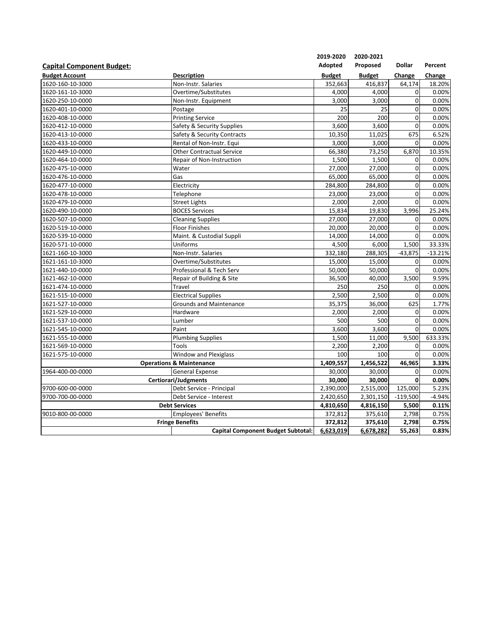|                                  |                                           | 2019-2020     | 2020-2021     |               |           |
|----------------------------------|-------------------------------------------|---------------|---------------|---------------|-----------|
| <b>Capital Component Budget:</b> |                                           | Adopted       | Proposed      | <b>Dollar</b> | Percent   |
| <b>Budget Account</b>            | <b>Description</b>                        | <b>Budget</b> | <b>Budget</b> | Change        | Change    |
| 1620-160-10-3000                 | Non-Instr. Salaries                       | 352,663       | 416,837       | 64,174        | 18.20%    |
| 1620-161-10-3000                 | Overtime/Substitutes                      | 4,000         | 4,000         | $\mathbf 0$   | 0.00%     |
| 1620-250-10-0000                 | Non-Instr. Equipment                      | 3,000         | 3,000         | 0             | 0.00%     |
| 1620-401-10-0000                 | Postage                                   | 25            | 25            | $\mathbf 0$   | 0.00%     |
| 1620-408-10-0000                 | <b>Printing Service</b>                   | 200           | 200           | 0             | 0.00%     |
| 1620-412-10-0000                 | Safety & Security Supplies                | 3,600         | 3,600         | $\mathbf 0$   | 0.00%     |
| 1620-413-10-0000                 | Safety & Security Contracts               | 10,350        | 11,025        | 675           | 6.52%     |
| 1620-433-10-0000                 | Rental of Non-Instr. Equi                 | 3,000         | 3,000         | 0             | 0.00%     |
| 1620-449-10-0000                 | <b>Other Contractual Service</b>          | 66,380        | 73,250        | 6,870         | 10.35%    |
| 1620-464-10-0000                 | Repair of Non-Instruction                 | 1,500         | 1,500         | 0             | 0.00%     |
| 1620-475-10-0000                 | Water                                     | 27,000        | 27,000        | 0             | 0.00%     |
| 1620-476-10-0000                 | Gas                                       | 65,000        | 65,000        | $\mathbf 0$   | 0.00%     |
| 1620-477-10-0000                 | Electricity                               | 284,800       | 284,800       | 0             | 0.00%     |
| 1620-478-10-0000                 | Telephone                                 | 23,000        | 23,000        | 0             | 0.00%     |
| 1620-479-10-0000                 | <b>Street Lights</b>                      | 2,000         | 2,000         | $\mathbf 0$   | 0.00%     |
| 1620-490-10-0000                 | <b>BOCES Services</b>                     | 15,834        | 19,830        | 3,996         | 25.24%    |
| 1620-507-10-0000                 | Cleaning Supplies                         | 27,000        | 27,000        | 0             | 0.00%     |
| 1620-519-10-0000                 | <b>Floor Finishes</b>                     | 20,000        | 20,000        | 0             | 0.00%     |
| 1620-539-10-0000                 | Maint. & Custodial Suppli                 | 14,000        | 14,000        | $\mathbf 0$   | 0.00%     |
| 1620-571-10-0000                 | Uniforms                                  | 4,500         | 6,000         | 1,500         | 33.33%    |
| 1621-160-10-3000                 | Non-Instr. Salaries                       | 332,180       | 288,305       | $-43,875$     | $-13.21%$ |
| 1621-161-10-3000                 | Overtime/Substitutes                      | 15,000        | 15,000        | 0             | 0.00%     |
| 1621-440-10-0000                 | Professional & Tech Serv                  | 50,000        | 50,000        | 0             | 0.00%     |
| 1621-462-10-0000                 | Repair of Building & Site                 | 36,500        | 40,000        | 3,500         | 9.59%     |
| 1621-474-10-0000                 | Travel                                    | 250           | 250           | 0             | 0.00%     |
| 1621-515-10-0000                 | <b>Electrical Supplies</b>                | 2,500         | 2,500         | 0             | 0.00%     |
| 1621-527-10-0000                 | <b>Grounds and Maintenance</b>            | 35,375        | 36,000        | 625           | 1.77%     |
| 1621-529-10-0000                 | Hardware                                  | 2,000         | 2,000         | 0             | 0.00%     |
| 1621-537-10-0000                 | Lumber                                    | 500           | 500           | 0             | 0.00%     |
| 1621-545-10-0000                 | Paint                                     | 3,600         | 3,600         | $\mathbf 0$   | 0.00%     |
| 1621-555-10-0000                 | <b>Plumbing Supplies</b>                  | 1,500         | 11,000        | 9,500         | 633.33%   |
| 1621-569-10-0000                 | Tools                                     | 2,200         | 2,200         | 0             | 0.00%     |
| 1621-575-10-0000                 | <b>Window and Plexiglass</b>              | 100           | 100           | $\Omega$      | 0.00%     |
|                                  | <b>Operations &amp; Maintenance</b>       | 1,409,557     | 1,456,522     | 46,965        | 3.33%     |
| 1964-400-00-0000                 | <b>General Expense</b>                    | 30,000        | 30,000        | 0             | 0.00%     |
|                                  | Certiorari/Judgments                      | 30,000        | 30,000        | 0             | 0.00%     |
| 9700-600-00-0000                 | Debt Service - Principal                  | 2,390,000     | 2,515,000     | 125,000       | 5.23%     |
| 9700-700-00-0000                 | Debt Service - Interest                   | 2,420,650     | 2,301,150     | $-119,500$    | $-4.94%$  |
|                                  | <b>Debt Services</b>                      | 4,810,650     | 4,816,150     | 5,500         | 0.11%     |
| 9010-800-00-0000                 | <b>Employees' Benefits</b>                | 372,812       | 375,610       | 2,798         | 0.75%     |
|                                  | <b>Fringe Benefits</b>                    | 372,812       | 375,610       | 2,798         | 0.75%     |
|                                  | <b>Capital Component Budget Subtotal:</b> | 6,623,019     | 6,678,282     | 55,263        | 0.83%     |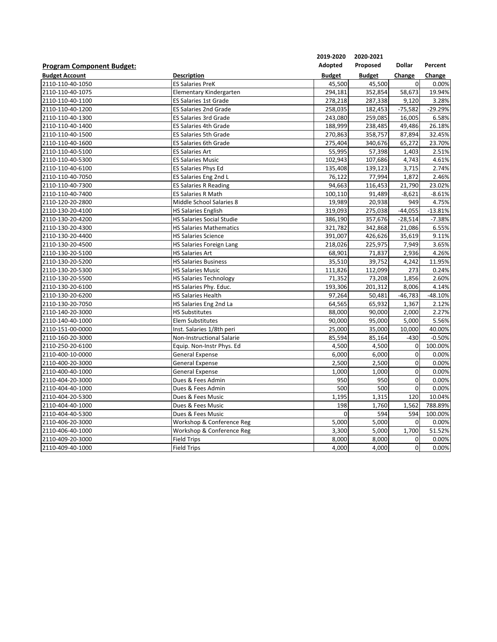|                                  |                                  | 2019-2020     | 2020-2021     |                |           |
|----------------------------------|----------------------------------|---------------|---------------|----------------|-----------|
| <b>Program Component Budget:</b> |                                  | Adopted       | Proposed      | <b>Dollar</b>  | Percent   |
| <b>Budget Account</b>            | <b>Description</b>               | <b>Budget</b> | <b>Budget</b> | Change         | Change    |
| 2110-110-40-1050                 | <b>ES Salaries PreK</b>          | 45,500        | 45,500        | $\overline{0}$ | 0.00%     |
| 2110-110-40-1075                 | Elementary Kindergarten          | 294,181       | 352,854       | 58,673         | 19.94%    |
| 2110-110-40-1100                 | <b>ES Salaries 1st Grade</b>     | 278,218       | 287,338       | 9,120          | 3.28%     |
| 2110-110-40-1200                 | <b>ES Salaries 2nd Grade</b>     | 258,035       | 182,453       | $-75,582$      | $-29.29%$ |
| 2110-110-40-1300                 | <b>ES Salaries 3rd Grade</b>     | 243,080       | 259,085       | 16,005         | 6.58%     |
| 2110-110-40-1400                 | <b>ES Salaries 4th Grade</b>     | 188,999       | 238,485       | 49,486         | 26.18%    |
| 2110-110-40-1500                 | ES Salaries 5th Grade            | 270,863       | 358,757       | 87,894         | 32.45%    |
| 2110-110-40-1600                 | <b>ES Salaries 6th Grade</b>     | 275,404       | 340,676       | 65,272         | 23.70%    |
| 2110-110-40-5100                 | <b>ES Salaries Art</b>           | 55,995        | 57,398        | 1,403          | 2.51%     |
| 2110-110-40-5300                 | <b>ES Salaries Music</b>         | 102,943       | 107,686       | 4,743          | 4.61%     |
| 2110-110-40-6100                 | <b>ES Salaries Phys Ed</b>       | 135,408       | 139,123       | 3,715          | 2.74%     |
| 2110-110-40-7050                 | ES Salaries Eng 2nd L            | 76,122        | 77,994        | 1,872          | 2.46%     |
| 2110-110-40-7300                 | <b>ES Salaries R Reading</b>     | 94,663        | 116,453       | 21,790         | 23.02%    |
| 2110-110-40-7400                 | <b>ES Salaries R Math</b>        | 100,110       | 91,489        | $-8,621$       | $-8.61%$  |
| 2110-120-20-2800                 | Middle School Salaries 8         | 19,989        | 20,938        | 949            | 4.75%     |
| 2110-130-20-4100                 | <b>HS Salaries English</b>       | 319,093       | 275,038       | $-44,055$      | $-13.81%$ |
| 2110-130-20-4200                 | <b>HS Salaries Social Studie</b> | 386,190       | 357,676       | $-28,514$      | $-7.38%$  |
| 2110-130-20-4300                 | <b>HS Salaries Mathematics</b>   | 321,782       | 342,868       | 21,086         | 6.55%     |
| 2110-130-20-4400                 | <b>HS Salaries Science</b>       | 391,007       | 426,626       | 35,619         | 9.11%     |
| 2110-130-20-4500                 | HS Salaries Foreign Lang         | 218,026       | 225,975       | 7,949          | 3.65%     |
| 2110-130-20-5100                 | <b>HS Salaries Art</b>           | 68,901        | 71,837        | 2,936          | 4.26%     |
| 2110-130-20-5200                 | <b>HS Salaries Business</b>      | 35,510        | 39,752        | 4,242          | 11.95%    |
| 2110-130-20-5300                 | <b>HS Salaries Music</b>         | 111,826       | 112,099       | 273            | 0.24%     |
| 2110-130-20-5500                 | <b>HS Salaries Technology</b>    | 71,352        | 73,208        | 1,856          | 2.60%     |
| 2110-130-20-6100                 | HS Salaries Phy. Educ.           | 193,306       | 201,312       | 8,006          | 4.14%     |
| 2110-130-20-6200                 | <b>HS Salaries Health</b>        | 97,264        | 50,481        | $-46,783$      | $-48.10%$ |
| 2110-130-20-7050                 | HS Salaries Eng 2nd La           | 64,565        | 65,932        | 1,367          | 2.12%     |
| 2110-140-20-3000                 | <b>HS Substitutes</b>            | 88,000        | 90,000        | 2,000          | 2.27%     |
| 2110-140-40-1000                 | Elem Substitutes                 | 90,000        | 95,000        | 5,000          | 5.56%     |
| 2110-151-00-0000                 | Inst. Salaries 1/8th peri        | 25,000        | 35,000        | 10,000         | 40.00%    |
| 2110-160-20-3000                 | <b>Non-Instructional Salarie</b> | 85,594        | 85,164        | $-430$         | $-0.50%$  |
| 2110-250-20-6100                 | Equip. Non-Instr Phys. Ed        | 4,500         | 4,500         | 0              | 100.00%   |
| 2110-400-10-0000                 | <b>General Expense</b>           | 6,000         | 6,000         | $\mathbf 0$    | 0.00%     |
| 2110-400-20-3000                 | <b>General Expense</b>           | 2,500         | 2,500         | $\mathbf 0$    | 0.00%     |
| 2110-400-40-1000                 | <b>General Expense</b>           | 1,000         | 1,000         | $\mathbf 0$    | 0.00%     |
| 2110-404-20-3000                 | Dues & Fees Admin                | 950           | 950           | $\mathbf 0$    | 0.00%     |
| 2110-404-40-1000                 | Dues & Fees Admin                | 500           | 500           | $\mathbf 0$    | 0.00%     |
| 2110-404-20-5300                 | Dues & Fees Music                | 1,195         | 1,315         | 120            | 10.04%    |
| 2110-404-40-1000                 | Dues & Fees Music                | 198           | 1,760         | 1,562          | 788.89%   |
| 2110-404-40-5300                 | Dues & Fees Music                | 0             | 594           | 594            | 100.00%   |
| 2110-406-20-3000                 | Workshop & Conference Reg        | 5,000         | 5,000         | $\mathbf 0$    | 0.00%     |
| 2110-406-40-1000                 | Workshop & Conference Reg        | 3,300         | 5,000         | 1,700          | 51.52%    |
| 2110-409-20-3000                 | <b>Field Trips</b>               | 8,000         | 8,000         | 0              | 0.00%     |
| 2110-409-40-1000                 | <b>Field Trips</b>               | 4,000         | 4,000         | $\mathbf 0$    | 0.00%     |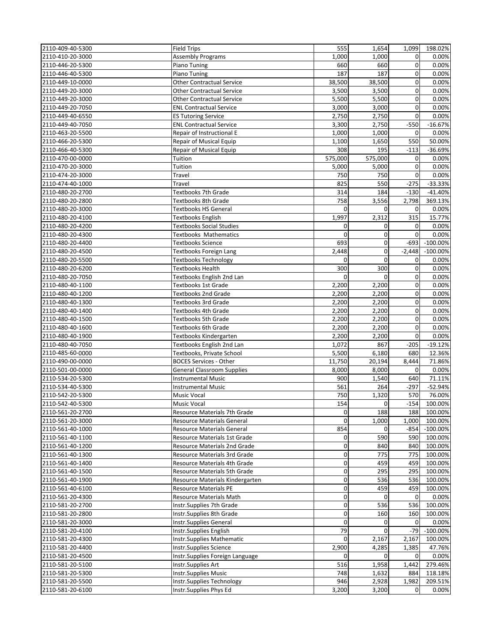| 2110-409-40-5300 | <b>Field Trips</b>                | 555      | 1,654          | 1,099          | 198.02%     |
|------------------|-----------------------------------|----------|----------------|----------------|-------------|
| 2110-410-20-3000 | <b>Assembly Programs</b>          | 1,000    | 1,000          | 0              | 0.00%       |
| 2110-446-20-5300 | Piano Tuning                      | 660      | 660            | 0              | 0.00%       |
| 2110-446-40-5300 | Piano Tuning                      | 187      | 187            | 0              | 0.00%       |
|                  |                                   | 38,500   | 38,500         | 0              | 0.00%       |
| 2110-449-10-0000 | <b>Other Contractual Service</b>  |          |                |                |             |
| 2110-449-20-3000 | <b>Other Contractual Service</b>  | 3,500    | 3,500          | 0              | 0.00%       |
| 2110-449-20-3000 | <b>Other Contractual Service</b>  | 5,500    | 5,500          | 0              | 0.00%       |
| 2110-449-20-7050 | <b>ENL Contractual Service</b>    | 3,000    | 3,000          | 0              | 0.00%       |
| 2110-449-40-6550 | <b>ES Tutoring Service</b>        | 2,750    | 2,750          | $\overline{0}$ | 0.00%       |
| 2110-449-40-7050 | <b>ENL Contractual Service</b>    | 3,300    | 2,750          | $-550$         | $-16.67%$   |
| 2110-463-20-5500 | Repair of Instructional E         | 1,000    | 1,000          | $\overline{0}$ | 0.00%       |
| 2110-466-20-5300 | <b>Repair of Musical Equip</b>    | 1,100    | 1,650          | 550            | 50.00%      |
| 2110-466-40-5300 | Repair of Musical Equip           | 308      | 195            | $-113$         | $-36.69%$   |
| 2110-470-00-0000 | Tuition                           | 575,000  | 575,000        | $\overline{0}$ | 0.00%       |
| 2110-470-20-3000 | Tuition                           | 5,000    | 5,000          | 0              | 0.00%       |
| 2110-474-20-3000 | Travel                            | 750      | 750            | $\overline{0}$ | 0.00%       |
| 2110-474-40-1000 | Travel                            | 825      | 550            | $-275$         | $-33.33%$   |
| 2110-480-20-2700 | <b>Textbooks 7th Grade</b>        | 314      | 184            | $-130$         | $-41.40%$   |
| 2110-480-20-2800 | <b>Textbooks 8th Grade</b>        | 758      | 3,556          | 2,798          | 369.13%     |
| 2110-480-20-3000 | <b>Textbooks HS General</b>       | 0        | 0              | 0              | 0.00%       |
| 2110-480-20-4100 | <b>Textbooks English</b>          | 1,997    | 2,312          | 315            | 15.77%      |
| 2110-480-20-4200 | <b>Textbooks Social Studies</b>   | 0        | $\mathbf{0}$   | $\overline{0}$ | 0.00%       |
| 2110-480-20-4300 | Textbooks Mathematics             | 0        | $\mathbf{O}$   | $\mathbf 0$    | 0.00%       |
| 2110-480-20-4400 | <b>Textbooks Science</b>          | 693      | $\mathbf 0$    | $-693$         | $-100.00\%$ |
| 2110-480-20-4500 | Textbooks Foreign Lang            | 2,448    | 0              | $-2,448$       | $-100.00\%$ |
| 2110-480-20-5500 | <b>Textbooks Technology</b>       | $\Omega$ | $\Omega$       | $\overline{0}$ | 0.00%       |
| 2110-480-20-6200 | Textbooks Health                  | 300      | 300            | $\overline{0}$ | 0.00%       |
| 2110-480-20-7050 | Textbooks English 2nd Lan         | 0        | $\mathbf 0$    | 0              | 0.00%       |
| 2110-480-40-1100 | <b>Textbooks 1st Grade</b>        | 2,200    | 2,200          | 0              | 0.00%       |
| 2110-480-40-1200 | <b>Textbooks 2nd Grade</b>        | 2,200    | 2,200          | 0              | 0.00%       |
| 2110-480-40-1300 | <b>Textbooks 3rd Grade</b>        | 2,200    | 2,200          | 0              | 0.00%       |
| 2110-480-40-1400 | Textbooks 4th Grade               | 2,200    | 2,200          | $\overline{0}$ | 0.00%       |
| 2110-480-40-1500 | <b>Textbooks 5th Grade</b>        | 2,200    | 2,200          | 0              | 0.00%       |
| 2110-480-40-1600 | <b>Textbooks 6th Grade</b>        | 2,200    | 2,200          | 0              | 0.00%       |
|                  |                                   |          | 2,200          | $\overline{0}$ |             |
| 2110-480-40-1900 | Textbooks Kindergarten            | 2,200    | 867            |                | 0.00%       |
| 2110-480-40-7050 | Textbooks English 2nd Lan         | 1,072    |                | $-205$         | $-19.12%$   |
| 2110-485-60-0000 | Textbooks, Private School         | 5,500    | 6,180          | 680            | 12.36%      |
| 2110-490-00-0000 | <b>BOCES Services - Other</b>     | 11,750   | 20,194         | 8,444          | 71.86%      |
| 2110-501-00-0000 | <b>General Classroom Supplies</b> | 8,000    | 8,000          | $\mathbf 0$    | 0.00%       |
| 2110-534-20-5300 | <b>Instrumental Music</b>         | 900      | 1,540          | 640            | 71.11%      |
| 2110-534-40-5300 | <b>Instrumental Music</b>         | 561      | 264            | $-297$         | $-52.94%$   |
| 2110-542-20-5300 | <b>Music Vocal</b>                | 750      | 1,320          | 570            | 76.00%      |
| 2110-542-40-5300 | <b>Music Vocal</b>                | 154      | $\overline{0}$ | $-154$         | 100.00%     |
| 2110-561-20-2700 | Resource Materials 7th Grade      | 0        | 188            | 188            | 100.00%     |
| 2110-561-20-3000 | <b>Resource Materials General</b> | 0        | 1,000          | 1,000          | 100.00%     |
| 2110-561-40-1000 | Resource Materials General        | 854      | 0              | $-854$         | $-100.00\%$ |
| 2110-561-40-1100 | Resource Materials 1st Grade      | 0        | 590            | 590            | 100.00%     |
| 2110-561-40-1200 | Resource Materials 2nd Grade      | 0        | 840            | 840            | 100.00%     |
| 2110-561-40-1300 | Resource Materials 3rd Grade      | 0        | 775            | 775            | 100.00%     |
| 2110-561-40-1400 | Resource Materials 4th Grade      | 0        | 459            | 459            | 100.00%     |
| 2110-561-40-1500 | Resource Materials 5th Grade      | 0        | 295            | 295            | 100.00%     |
| 2110-561-40-1900 | Resource Materials Kindergarten   | 0        | 536            | 536            | 100.00%     |
| 2110-561-40-6100 | Resource Materials PE             | 0        | 459            | 459            | 100.00%     |
| 2110-561-20-4300 | Resource Materials Math           | 0        | 0              | 0              | 0.00%       |
| 2110-581-20-2700 | Instr.Supplies 7th Grade          | 0        | 536            | 536            | 100.00%     |
| 2110-581-20-2800 | Instr.Supplies 8th Grade          | 0        | 160            | 160            | 100.00%     |
| 2110-581-20-3000 | Instr.Supplies General            | 0        | $\Omega$       | $\mathbf{0}$   | 0.00%       |
| 2110-581-20-4100 | Instr.Supplies English            | 79       | $\mathbf{0}$   | $-79$          | $-100.00\%$ |
| 2110-581-20-4300 | Instr.Supplies Mathematic         | 0        | 2,167          | 2,167          | 100.00%     |
| 2110-581-20-4400 | Instr.Supplies Science            | 2,900    | 4,285          | 1,385          | 47.76%      |
| 2110-581-20-4500 | Instr.Supplies Foreign Language   | 0        | $\mathbf{O}$   | $\overline{0}$ | 0.00%       |
| 2110-581-20-5100 | Instr.Supplies Art                | 516      | 1,958          | 1,442          | 279.46%     |
| 2110-581-20-5300 | Instr.Supplies Music              | 748      | 1,632          | 884            | 118.18%     |
| 2110-581-20-5500 | Instr.Supplies Technology         | 946      | 2,928          | 1,982          | 209.51%     |
| 2110-581-20-6100 | Instr.Supplies Phys Ed            | 3,200    | 3,200          | $\mathbf 0$    | 0.00%       |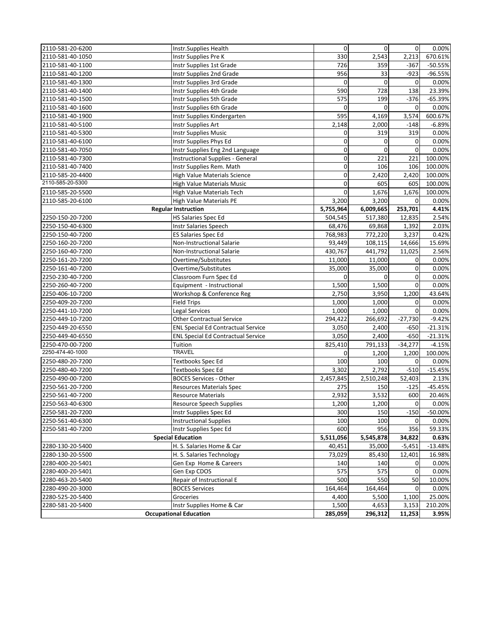| 2110-581-20-6200 | Instr.Supplies Health                     | $\overline{0}$   | $\overline{0}$ | $\overline{0}$ | 0.00%            |
|------------------|-------------------------------------------|------------------|----------------|----------------|------------------|
| 2110-581-40-1050 | Instr Supplies Pre K                      | 330              | 2,543          | 2,213          | 670.61%          |
| 2110-581-40-1100 | Instr Supplies 1st Grade                  | 726              | 359            | $-367$         | $-50.55%$        |
| 2110-581-40-1200 | Instr Supplies 2nd Grade                  | 956              | 33             | $-923$         | -96.55%          |
| 2110-581-40-1300 | Instr Supplies 3rd Grade                  | $\mathbf 0$      | $\mathbf 0$    | $\mathbf 0$    | 0.00%            |
| 2110-581-40-1400 | Instr Supplies 4th Grade                  | 590              | 728            | 138            | 23.39%           |
| 2110-581-40-1500 | Instr Supplies 5th Grade                  | 575              | 199            | $-376$         | $-65.39%$        |
| 2110-581-40-1600 | Instr Supplies 6th Grade                  | 0                | 0              | 0              | 0.00%            |
| 2110-581-40-1900 | Instr Supplies Kindergarten               | 595              | 4,169          | 3,574          | 600.67%          |
| 2110-581-40-5100 | Instr Supplies Art                        | 2,148            | 2,000          | $-148$         | $-6.89%$         |
| 2110-581-40-5300 | <b>Instr Supplies Music</b>               | 0                | 319            | 319            | 0.00%            |
| 2110-581-40-6100 | Instr Supplies Phys Ed                    | 0                | $\mathbf{0}$   | 0              | 0.00%            |
| 2110-581-40-7050 | Instr Supplies Eng 2nd Language           | 0                | $\mathbf 0$    | $\overline{0}$ | 0.00%            |
| 2110-581-40-7300 | <b>Instructional Supplies - General</b>   | 0                | 221            | 221            | 100.00%          |
| 2110-581-40-7400 | Instr Supplies Rem. Math                  | 0                | 106            | 106            | 100.00%          |
| 2110-585-20-4400 | <b>High Value Materials Science</b>       | 0                | 2,420          | 2,420          | 100.00%          |
| 2110-585-20-5300 | <b>High Value Materials Music</b>         | 0                | 605            | 605            | 100.00%          |
| 2110-585-20-5500 | High Value Materials Tech                 | 0                | 1,676          | 1,676          | 100.00%          |
| 2110-585-20-6100 | <b>High Value Materials PE</b>            | 3,200            | 3,200          | 0              | 0.00%            |
|                  | <b>Regular Instruction</b>                | 5,755,964        | 6,009,665      | 253,701        | 4.41%            |
| 2250-150-20-7200 | HS Salaries Spec Ed                       | 504,545          | 517,380        | 12,835         | 2.54%            |
| 2250-150-40-6300 | Instr Salaries Speech                     | 68,476           | 69,868         | 1,392          | 2.03%            |
| 2250-150-40-7200 | <b>ES Salaries Spec Ed</b>                | 768,983          | 772,220        | 3,237          | 0.42%            |
| 2250-160-20-7200 | Non-Instructional Salarie                 | 93,449           | 108,115        | 14,666         | 15.69%           |
| 2250-160-40-7200 | Non-Instructional Salarie                 | 430,767          | 441,792        | 11,025         | 2.56%            |
| 2250-161-20-7200 | Overtime/Substitutes                      | 11,000           | 11,000         | $\mathbf 0$    | 0.00%            |
| 2250-161-40-7200 | Overtime/Substitutes                      | 35,000           | 35,000         | $\overline{0}$ | 0.00%            |
| 2250-230-40-7200 | Classroom Furn Spec Ed                    | 0                | $\mathbf 0$    | $\mathbf 0$    | 0.00%            |
| 2250-260-40-7200 | Equipment - Instructional                 | 1,500            | 1,500          | 0              | 0.00%            |
| 2250-406-10-7200 | Workshop & Conference Reg                 | 2,750            | 3,950          | 1,200          | 43.64%           |
| 2250-409-20-7200 | <b>Field Trips</b>                        | 1,000            | 1,000          | 0              | 0.00%            |
| 2250-441-10-7200 | <b>Legal Services</b>                     | 1,000            | 1,000          | $\overline{0}$ | 0.00%            |
| 2250-449-10-7200 | <b>Other Contractual Service</b>          | 294,422          | 266,692        | $-27,730$      | $-9.42%$         |
| 2250-449-20-6550 | <b>ENL Special Ed Contractual Service</b> | 3,050            | 2,400          | $-650$         | $-21.31%$        |
| 2250-449-40-6550 | <b>ENL Special Ed Contractual Service</b> | 3,050            | 2,400          | $-650$         | $-21.31%$        |
| 2250-470-00-7200 | Tuition                                   | 825,410          | 791,133        | $-34,277$      | $-4.15%$         |
| 2250-474-40-1000 | <b>TRAVEL</b>                             | 0                | 1,200          | 1,200          | 100.00%          |
| 2250-480-20-7200 | Textbooks Spec Ed                         | 100              | 100            | $\mathbf 0$    | 0.00%            |
| 2250-480-40-7200 | <b>Textbooks Spec Ed</b>                  | 3,302            | 2,792          | $-510$         | $-15.45%$        |
| 2250-490-00-7200 | <b>BOCES Services - Other</b>             | 2,457,845        | 2,510,248      | 52,403         | 2.13%            |
| 2250-561-20-7200 | <b>Resources Materials Spec</b>           | 275              | 150            | $-125$         | $-45.45%$        |
| 2250-561-40-7200 | <b>Resource Materials</b>                 | 2,932            | 3,532          | 600            | 20.46%           |
| 2250-563-40-6300 | <b>Resource Speech Supplies</b>           | 1,200            | 1,200          | $\overline{0}$ | 0.00%            |
| 2250-581-20-7200 | Instr Supplies Spec Ed                    | 300              | 150            | $-150$         | $-50.00%$        |
| 2250-561-40-6300 | <b>Instructional Supplies</b>             | 100              | 100            | 0              | 0.00%            |
| 2250-581-40-7200 | Instr Supplies Spec Ed                    | 600              | 956            | 356            | 59.33%           |
|                  | <b>Special Education</b>                  | 5,511,056        | 5,545,878      | 34,822         | 0.63%            |
| 2280-130-20-5400 | H. S. Salaries Home & Car                 | 40,451           | 35,000         | $-5,451$       | $-13.48%$        |
| 2280-130-20-5500 | H. S. Salaries Technology                 | 73,029           | 85,430         | 12,401         | 16.98%           |
| 2280-400-20-5401 | Gen Exp Home & Careers                    | 140              | 140            | $\overline{0}$ | 0.00%            |
| 2280-400-20-5401 | Gen Exp CDOS                              | 575              | 575            | $\mathbf 0$    | 0.00%            |
| 2280-463-20-5400 | Repair of Instructional E                 | 500              | 550            | 50             | 10.00%           |
| 2280-490-20-3000 | <b>BOCES Services</b>                     | 164,464          | 164,464        | $\sigma$       | 0.00%            |
| 2280-525-20-5400 | Groceries                                 | 4,400            | 5,500          | 1,100          | 25.00%           |
| 2280-581-20-5400 | Instr Supplies Home & Car                 |                  | 4,653          | 3,153          |                  |
|                  | <b>Occupational Education</b>             | 1,500<br>285,059 | 296,312        | 11,253         | 210.20%<br>3.95% |
|                  |                                           |                  |                |                |                  |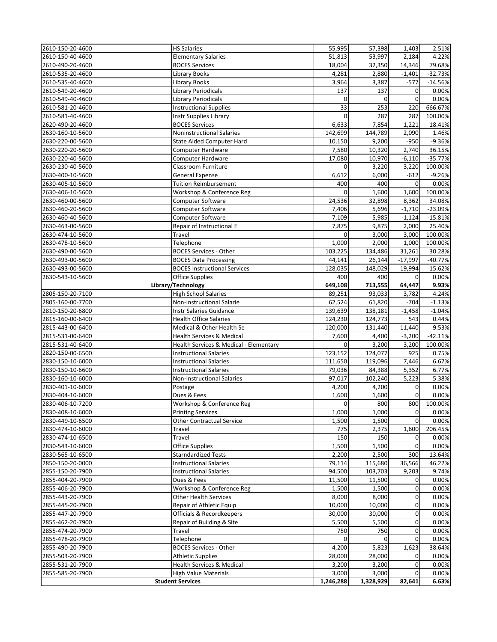| 2610-150-20-4600 | <b>HS Salaries</b>                     | 55,995      | 57,398    | 1,403        | 2.51%     |
|------------------|----------------------------------------|-------------|-----------|--------------|-----------|
| 2610-150-40-4600 | <b>Elementary Salaries</b>             | 51,813      | 53,997    | 2,184        | 4.22%     |
| 2610-490-20-4600 | <b>BOCES Services</b>                  | 18,004      | 32,350    | 14,346       | 79.68%    |
| 2610-535-20-4600 | Library Books                          | 4,281       | 2,880     | $-1,401$     | $-32.73%$ |
| 2610-535-40-4600 | Library Books                          | 3,964       | 3,387     | $-577$       | $-14.56%$ |
| 2610-549-20-4600 | <b>Library Periodicals</b>             | 137         | 137       | 0            | 0.00%     |
| 2610-549-40-4600 | <b>Library Periodicals</b>             | $\mathbf 0$ | 0         | 0            | 0.00%     |
| 2610-581-20-4600 | <b>Instructional Supplies</b>          | 33          | 253       | 220          | 666.67%   |
| 2610-581-40-4600 | <b>Instr Supplies Library</b>          | $\mathbf 0$ | 287       | 287          | 100.00%   |
| 2620-490-20-4600 | <b>BOCES Services</b>                  | 6,633       | 7,854     | 1,221        | 18.41%    |
| 2630-160-10-5600 | <b>Noninstructional Salaries</b>       | 142,699     | 144,789   | 2,090        | 1.46%     |
| 2630-220-00-5600 | <b>State Aided Computer Hard</b>       | 10,150      | 9,200     | $-950$       | $-9.36%$  |
| 2630-220-20-5600 | Computer Hardware                      | 7,580       | 10,320    | 2,740        | 36.15%    |
| 2630-220-40-5600 | <b>Computer Hardware</b>               | 17,080      | 10,970    | $-6,110$     | $-35.77%$ |
| 2630-230-40-5600 | Classroom Furniture                    | 0           | 3,220     | 3,220        | 100.00%   |
| 2630-400-10-5600 | <b>General Expense</b>                 | 6,612       | 6,000     | $-612$       | $-9.26%$  |
| 2630-405-10-5600 | <b>Tuition Reimbursement</b>           | 400         | 400       | $\mathbf 0$  | 0.00%     |
| 2630-406-10-5600 | Workshop & Conference Reg              | $\mathbf 0$ | 1,600     | 1,600        | 100.00%   |
| 2630-460-00-5600 | Computer Software                      | 24,536      | 32,898    | 8,362        | 34.08%    |
| 2630-460-20-5600 | Computer Software                      | 7,406       | 5,696     | $-1,710$     | $-23.09%$ |
| 2630-460-40-5600 | Computer Software                      | 7,109       | 5,985     | $-1,124$     | $-15.81%$ |
| 2630-463-00-5600 | Repair of Instructional E              | 7,875       | 9,875     | 2,000        | 25.40%    |
| 2630-474-10-5600 | Travel                                 | 0           | 3,000     | 3,000        | 100.00%   |
| 2630-478-10-5600 | Telephone                              | 1,000       | 2,000     | 1,000        | 100.00%   |
| 2630-490-00-5600 | <b>BOCES Services - Other</b>          | 103,225     | 134,486   | 31,261       | 30.28%    |
| 2630-493-00-5600 | <b>BOCES Data Processing</b>           | 44,141      | 26,144    | $-17,997$    | $-40.77%$ |
| 2630-493-00-5600 | <b>BOCES Instructional Services</b>    | 128,035     | 148,029   | 19,994       | 15.62%    |
| 2630-543-10-5600 | <b>Office Supplies</b>                 | 400         | 400       | $\mathbf 0$  | 0.00%     |
|                  | Library/Technology                     | 649,108     | 713,555   | 64,447       | 9.93%     |
| 2805-150-20-7100 | <b>High School Salaries</b>            | 89,251      | 93,033    | 3,782        | 4.24%     |
| 2805-160-00-7700 | Non-Instructional Salarie              | 62,524      | 61,820    | $-704$       | $-1.13%$  |
| 2810-150-20-6800 | <b>Instr Salaries Guidance</b>         | 139,639     | 138,181   | $-1,458$     | $-1.04%$  |
| 2815-160-00-6400 | <b>Health Office Salaries</b>          | 124,230     | 124,773   | 543          | 0.44%     |
| 2815-443-00-6400 | Medical & Other Health Se              | 120,000     | 131,440   | 11,440       | 9.53%     |
| 2815-531-00-6400 | <b>Health Services &amp; Medical</b>   | 7,600       | 4,400     | $-3,200$     | $-42.11%$ |
| 2815-531-40-6400 | Health Services & Medical - Elementary | 0           | 3,200     | 3,200        | 100.00%   |
| 2820-150-00-6500 | <b>Instructional Salaries</b>          | 123,152     | 124,077   | 925          | 0.75%     |
| 2830-150-10-6000 | <b>Instructional Salaries</b>          | 111,650     | 119,096   | 7,446        | 6.67%     |
| 2830-150-10-6600 | <b>Instructional Salaries</b>          | 79,036      | 84,388    | 5,352        | 6.77%     |
| 2830-160-10-6000 | <b>Non-Instructional Salaries</b>      | 97,017      | 102,240   | 5,223        | 5.38%     |
| 2830-401-10-6000 | Postage                                | 4,200       | 4,200     | $\mathbf 0$  | 0.00%     |
| 2830-404-10-6000 | Dues & Fees                            | 1,600       | 1,600     | 0            | 0.00%     |
| 2830-406-10-7200 | Workshop & Conference Reg              | 0           | 800       | 800          | 100.00%   |
| 2830-408-10-6000 | <b>Printing Services</b>               | 1,000       | 1,000     | $\mathbf 0$  | 0.00%     |
| 2830-449-10-6500 | <b>Other Contractual Service</b>       | 1,500       | 1,500     | $\Omega$     | 0.00%     |
| 2830-474-10-6000 | Travel                                 | 775         | 2,375     | 1,600        | 206.45%   |
| 2830-474-10-6500 | Travel                                 | 150         | 150       | $\mathbf{0}$ | 0.00%     |
| 2830-543-10-6000 | <b>Office Supplies</b>                 | 1,500       | 1,500     | 0            | 0.00%     |
| 2830-565-10-6500 | <b>Starndardized Tests</b>             | 2,200       | 2,500     | 300          | 13.64%    |
| 2850-150-20-0000 | <b>Instructional Salaries</b>          | 79,114      | 115,680   | 36,566       | 46.22%    |
| 2855-150-20-7900 | <b>Instructional Salaries</b>          | 94,500      | 103,703   | 9,203        | 9.74%     |
| 2855-404-20-7900 | Dues & Fees                            | 11,500      | 11,500    | 0            | 0.00%     |
| 2855-406-20-7900 | Workshop & Conference Reg              | 1,500       | 1,500     | $\mathbf 0$  | 0.00%     |
| 2855-443-20-7900 | <b>Other Health Services</b>           | 8,000       | 8,000     | 0            | 0.00%     |
| 2855-445-20-7900 | Repair of Athletic Equip               | 10,000      | 10,000    | $\mathbf 0$  | 0.00%     |
| 2855-447-20-7900 | Officials & Recordkeepers              | 30,000      | 30,000    | 0            | 0.00%     |
| 2855-462-20-7900 | Repair of Building & Site              | 5,500       | 5,500     | 0            | 0.00%     |
| 2855-474-20-7900 | Travel                                 | 750         | 750       | 0            | 0.00%     |
| 2855-478-20-7900 | Telephone                              | 0           | 0         | 0            | 0.00%     |
| 2855-490-20-7900 | <b>BOCES Services - Other</b>          | 4,200       | 5,823     | 1,623        | 38.64%    |
| 2855-503-20-7900 | <b>Athletic Supplies</b>               | 28,000      | 28,000    | $\mathbf{0}$ | 0.00%     |
| 2855-531-20-7900 | <b>Health Services &amp; Medical</b>   | 3,200       | 3,200     | $\mathbf 0$  | 0.00%     |
| 2855-585-20-7900 | <b>High Value Materials</b>            | 3,000       | 3,000     | $\mathbf 0$  | 0.00%     |
|                  | <b>Student Services</b>                | 1,246,288   | 1,328,929 | 82,641       | 6.63%     |